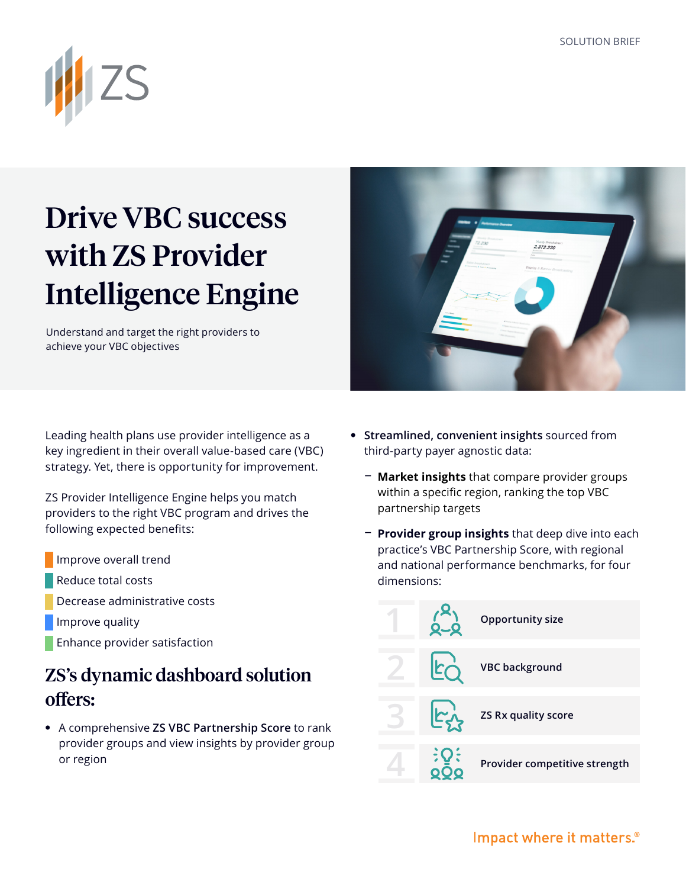

## Drive VBC success with ZS Provider Intelligence Engine

Understand and target the right providers to achieve your VBC objectives

Leading health plans use provider intelligence as a key ingredient in their overall value-based care (VBC) strategy. Yet, there is opportunity for improvement.

ZS Provider Intelligence Engine helps you match providers to the right VBC program and drives the following expected benefits:

- Improve overall trend
- Reduce total costs
- Decrease administrative costs
- Improve quality
- Enhance provider satisfaction

## ZS's dynamic dashboard solution offers:

**•** A comprehensive **ZS VBC Partnership Score** to rank provider groups and view insights by provider group or region

**• Streamlined, convenient insights** sourced from third-party payer agnostic data:

 $2.372.220$ 

- **− Market insights** that compare provider groups within a specific region, ranking the top VBC partnership targets
- **− Provider group insights** that deep dive into each practice's VBC Partnership Score, with regional and national performance benchmarks, for four dimensions: